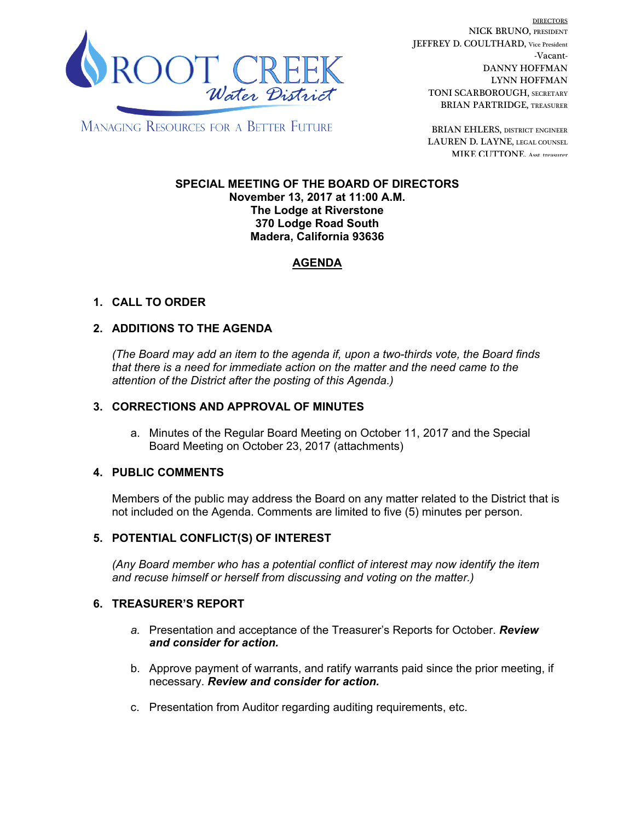

DIRECTORS NICK BRUNO, PRESIDENT JEFFREY D. COULTHARD, Vice President -Vacant-DANNY HOFFMAN LYNN HOFFMAN TONI SCARBOROUGH, SECRETARY BRIAN PARTRIDGE, TREASURER

**MANAGING RESOURCES FOR A BETTER FUTURE** 

BRIAN EHLERS, DISTRICT ENGINEER LAUREN D. LAYNE, LEGAL COUNSEL MIKE CUTTONE, Asst. treasurer

#### **SPECIAL MEETING OF THE BOARD OF DIRECTORS November 13, 2017 at 11:00 A.M. The Lodge at Riverstone 370 Lodge Road South Madera, California 93636**

# **AGENDA**

# **1. CALL TO ORDER**

## **2. ADDITIONS TO THE AGENDA**

*(The Board may add an item to the agenda if, upon a two-thirds vote, the Board finds that there is a need for immediate action on the matter and the need came to the attention of the District after the posting of this Agenda.)*

### **3. CORRECTIONS AND APPROVAL OF MINUTES**

a. Minutes of the Regular Board Meeting on October 11, 2017 and the Special Board Meeting on October 23, 2017 (attachments)

### **4. PUBLIC COMMENTS**

Members of the public may address the Board on any matter related to the District that is not included on the Agenda. Comments are limited to five (5) minutes per person.

### **5. POTENTIAL CONFLICT(S) OF INTEREST**

*(Any Board member who has a potential conflict of interest may now identify the item and recuse himself or herself from discussing and voting on the matter.)*

### **6. TREASURER'S REPORT**

- *a.* Presentation and acceptance of the Treasurer's Reports for October. *Review and consider for action.*
- b. Approve payment of warrants, and ratify warrants paid since the prior meeting, if necessary. *Review and consider for action.*
- c. Presentation from Auditor regarding auditing requirements, etc.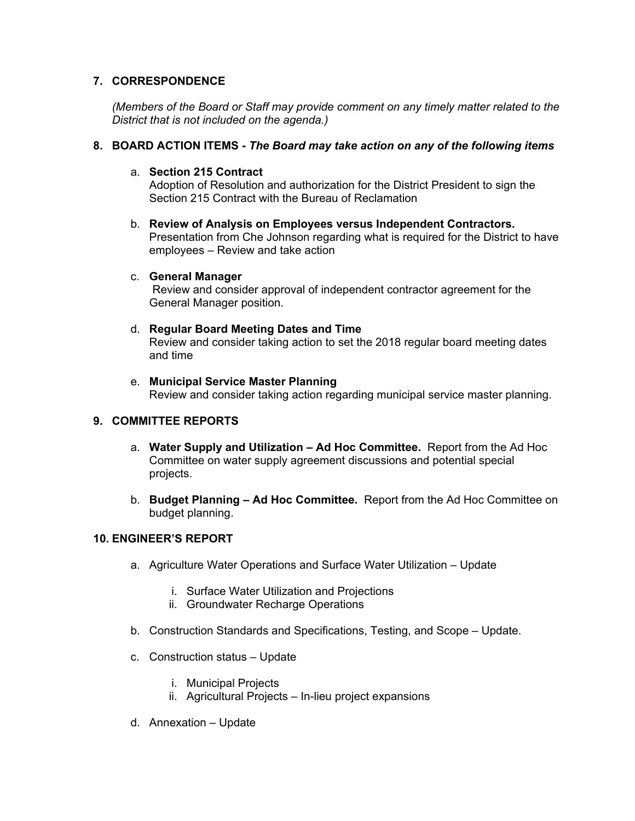## **7. CORRESPONDENCE**

*(Members of the Board or Staff may provide comment on any timely matter related to the District that is not included on the agenda.)*

### **8. BOARD ACTION ITEMS -** *The Board may take action on any of the following items*

### a. **Section 215 Contract**

Adoption of Resolution and authorization for the District President to sign the Section 215 Contract with the Bureau of Reclamation

b. **Review of Analysis on Employees versus Independent Contractors.** Presentation from Che Johnson regarding what is required for the District to have employees – Review and take action

#### c. **General Manager**

 Review and consider approval of independent contractor agreement for the General Manager position.

#### d. **Regular Board Meeting Dates and Time** Review and consider taking action to set the 2018 regular board meeting dates and time

e. **Municipal Service Master Planning** Review and consider taking action regarding municipal service master planning.

# **9. COMMITTEE REPORTS**

- a. **Water Supply and Utilization Ad Hoc Committee.** Report from the Ad Hoc Committee on water supply agreement discussions and potential special projects.
- b. **Budget Planning Ad Hoc Committee.** Report from the Ad Hoc Committee on budget planning.

### **10. ENGINEER'S REPORT**

- a. Agriculture Water Operations and Surface Water Utilization Update
	- i. Surface Water Utilization and Projections
	- ii. Groundwater Recharge Operations
- b. Construction Standards and Specifications, Testing, and Scope Update.
- c. Construction status Update
	- i. Municipal Projects
	- ii. Agricultural Projects In-lieu project expansions
- d. Annexation Update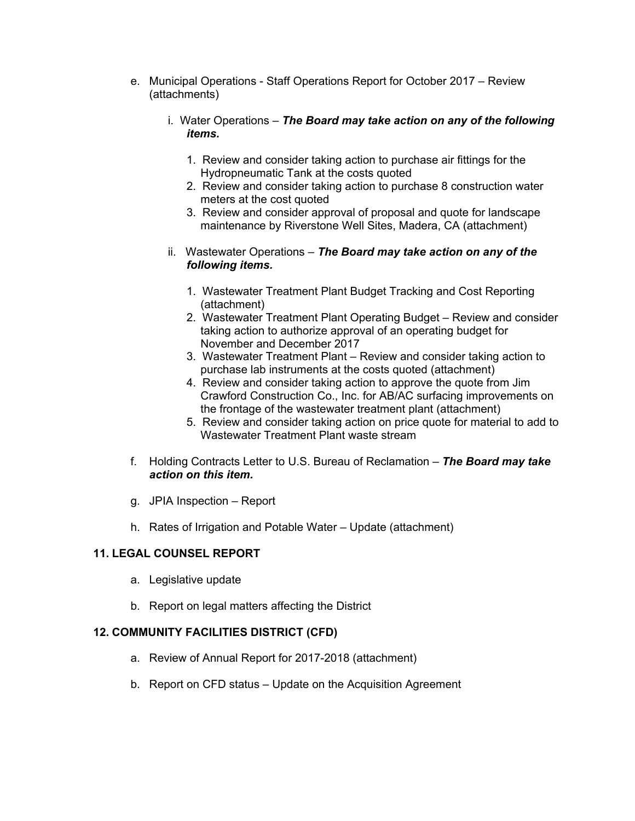- e. Municipal Operations Staff Operations Report for October 2017 Review (attachments)
	- i. Water Operations *The Board may take action on any of the following items.*
		- 1. Review and consider taking action to purchase air fittings for the Hydropneumatic Tank at the costs quoted
		- 2. Review and consider taking action to purchase 8 construction water meters at the cost quoted
		- 3. Review and consider approval of proposal and quote for landscape maintenance by Riverstone Well Sites, Madera, CA (attachment)
	- ii. Wastewater Operations *The Board may take action on any of the following items.*
		- 1. Wastewater Treatment Plant Budget Tracking and Cost Reporting (attachment)
		- 2. Wastewater Treatment Plant Operating Budget Review and consider taking action to authorize approval of an operating budget for November and December 2017
		- 3. Wastewater Treatment Plant Review and consider taking action to purchase lab instruments at the costs quoted (attachment)
		- 4. Review and consider taking action to approve the quote from Jim Crawford Construction Co., Inc. for AB/AC surfacing improvements on the frontage of the wastewater treatment plant (attachment)
		- 5. Review and consider taking action on price quote for material to add to Wastewater Treatment Plant waste stream
- f. Holding Contracts Letter to U.S. Bureau of Reclamation *The Board may take action on this item.*
- g. JPIA Inspection Report
- h. Rates of Irrigation and Potable Water Update (attachment)

# **11. LEGAL COUNSEL REPORT**

- a. Legislative update
- b. Report on legal matters affecting the District

# **12. COMMUNITY FACILITIES DISTRICT (CFD)**

- a. Review of Annual Report for 2017-2018 (attachment)
- b. Report on CFD status Update on the Acquisition Agreement